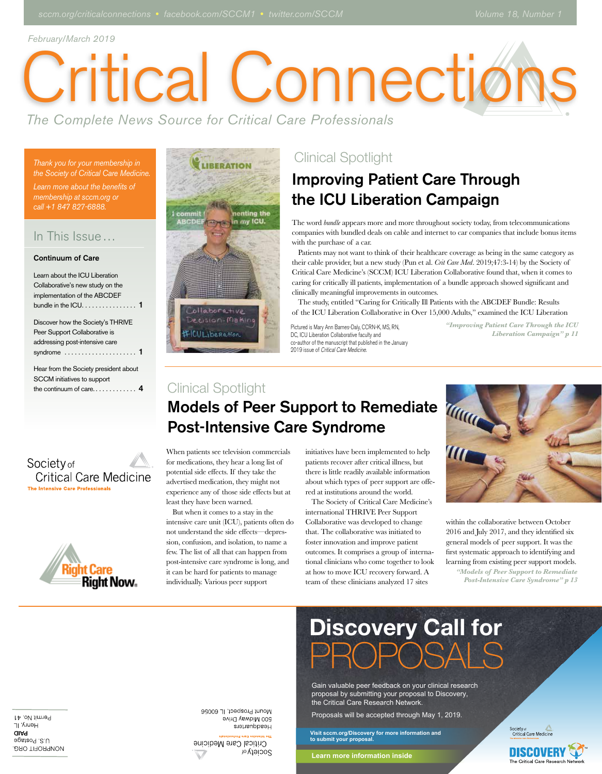# *February/March 2019*

# Critical Connectió

*The Complete News Source for Critical Care Professionals*

*Thank you for your membership in the Society of Critical Care Medicine.*

*Learn more about the benefits of membership at sccm.org or call +1 847 827-6888.*

# In This Issue…

## Continuum of Care

Learn about the ICU Liberation Collaborative's new study on the implementation of the ABCDEF bundle in the ICU. . . . . . . . . . . . . . . 1

Discover how the Society's THRIVE Peer Support Collaborative is addressing post-intensive care syndrome . . . . . . . . . . . . . . . . . . . . . 1

Hear from the Society president about SCCM initiatives to support the continuum of care. . . . . . . . . . . 4







# Clinical Spotlight

# Improving Patient Care Through the ICU Liberation Campaign

The word *bundle* appears more and more throughout society today, from telecommunications companies with bundled deals on cable and internet to car companies that include bonus items with the purchase of a car.

Patients may not want to think of their healthcare coverage as being in the same category as their cable provider, but a new study (Pun et al. *Crit Care Med*. 2019;47:3-14) by the Society of Critical Care Medicine's (SCCM) ICU Liberation Collaborative found that, when it comes to caring for critically ill patients, implementation of a bundle approach showed significant and clinically meaningful improvements in outcomes.

The study, entitled "Caring for Critically Ill Patients with the ABCDEF Bundle: Results of the ICU Liberation Collaborative in Over 15,000 Adults," examined the ICU Liberation

Pictured is Mary Ann Barnes-Daly, CCRN-K, MS, RN, DC, ICU Liberation Collaborative faculty and co-author of the manuscript that published in the January 2019 issue of Critical Care Medicine

*"Improving Patient Care Through the ICU Liberation Campaign" p 11*

# Clinical Spotlight

# Models of Peer Support to Remediate Post-Intensive Care Syndrome

When patients see television commercials for medications, they hear a long list of potential side effects. If they take the advertised medication, they might not experience any of those side effects but at least they have been warned.

But when it comes to a stay in the intensive care unit (ICU), patients often do not understand the side effects—depression, confusion, and isolation, to name a few. The list of all that can happen from post-intensive care syndrome is long, and it can be hard for patients to manage individually. Various peer support

initiatives have been implemented to help patients recover after critical illness, but there is little readily available information about which types of peer support are offered at institutions around the world.

The Society of Critical Care Medicine's international THRIVE Peer Support Collaborative was developed to change that. The collaborative was initiated to foster innovation and improve patient outcomes. It comprises a group of international clinicians who come together to look at how to move ICU recovery forward. A team of these clinicians analyzed 17 sites



*"Models of Peer Support to Remediate Post-Intensive Care Syndrome" p 13* within the collaborative between October 2016 and July 2017, and they identified six general models of peer support. It was the first systematic approach to identifying and learning from existing peer support models.

# Discovery Call for PROPOSALS

Gain valuable peer feedback on your clinical research proposal by submitting your proposal to Discovery, the Critical Care Research Network.

Proposals will be accepted through May 1, 2019.

**Visit sccm.org/Discovery for more information and to submit your proposal.**

**Learn more information inside**





Permit No 41 Henry, IL **DAID** U S Postage NONPROFIT ORG.

Mount Prospect, IL 60056 500 Midway Drive Headquarters Critical Care Medicine

Society<sub>of</sub>